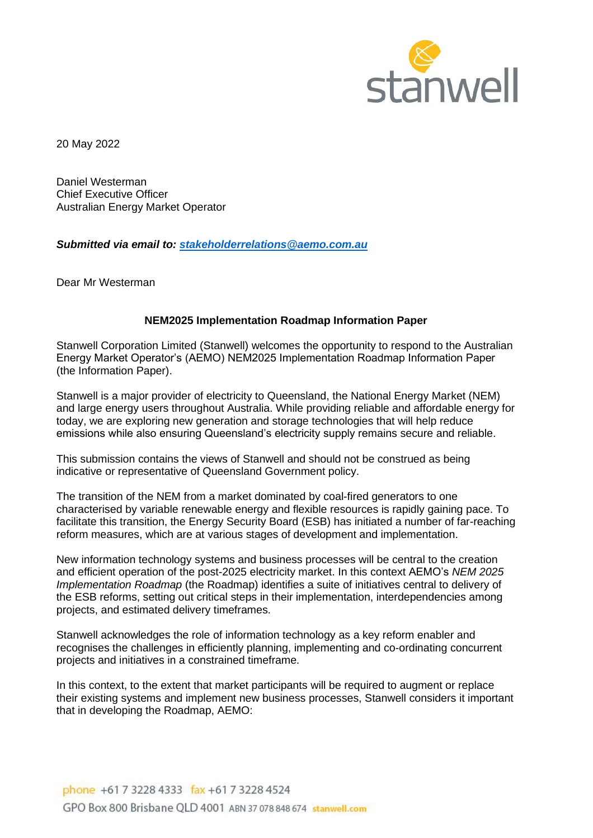

20 May 2022

Daniel Westerman Chief Executive Officer Australian Energy Market Operator

*Submitted via email to: [stakeholderrelations@aemo.com.au](mailto:stakeholderrelations@aemo.com.au)*

Dear Mr Westerman

# **NEM2025 Implementation Roadmap Information Paper**

Stanwell Corporation Limited (Stanwell) welcomes the opportunity to respond to the Australian Energy Market Operator's (AEMO) NEM2025 Implementation Roadmap Information Paper (the Information Paper).

Stanwell is a major provider of electricity to Queensland, the National Energy Market (NEM) and large energy users throughout Australia. While providing reliable and affordable energy for today, we are exploring new generation and storage technologies that will help reduce emissions while also ensuring Queensland's electricity supply remains secure and reliable.

This submission contains the views of Stanwell and should not be construed as being indicative or representative of Queensland Government policy.

The transition of the NEM from a market dominated by coal-fired generators to one characterised by variable renewable energy and flexible resources is rapidly gaining pace. To facilitate this transition, the Energy Security Board (ESB) has initiated a number of far-reaching reform measures, which are at various stages of development and implementation.

New information technology systems and business processes will be central to the creation and efficient operation of the post-2025 electricity market. In this context AEMO's *NEM 2025 Implementation Roadmap* (the Roadmap) identifies a suite of initiatives central to delivery of the ESB reforms, setting out critical steps in their implementation, interdependencies among projects, and estimated delivery timeframes.

Stanwell acknowledges the role of information technology as a key reform enabler and recognises the challenges in efficiently planning, implementing and co-ordinating concurrent projects and initiatives in a constrained timeframe.

In this context, to the extent that market participants will be required to augment or replace their existing systems and implement new business processes, Stanwell considers it important that in developing the Roadmap, AEMO: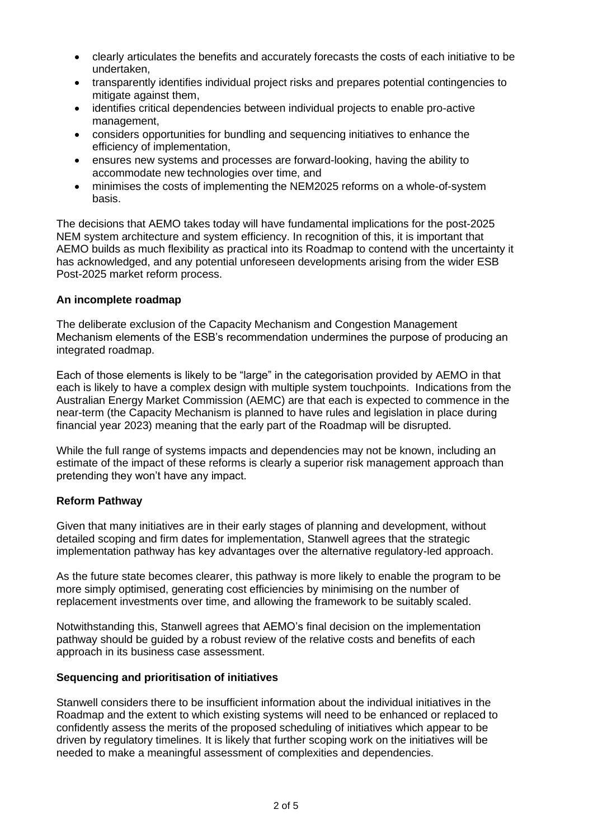- clearly articulates the benefits and accurately forecasts the costs of each initiative to be undertaken,
- transparently identifies individual project risks and prepares potential contingencies to mitigate against them,
- identifies critical dependencies between individual projects to enable pro-active management,
- considers opportunities for bundling and sequencing initiatives to enhance the efficiency of implementation,
- ensures new systems and processes are forward-looking, having the ability to accommodate new technologies over time, and
- minimises the costs of implementing the NEM2025 reforms on a whole-of-system basis.

The decisions that AEMO takes today will have fundamental implications for the post-2025 NEM system architecture and system efficiency. In recognition of this, it is important that AEMO builds as much flexibility as practical into its Roadmap to contend with the uncertainty it has acknowledged, and any potential unforeseen developments arising from the wider ESB Post-2025 market reform process.

# **An incomplete roadmap**

The deliberate exclusion of the Capacity Mechanism and Congestion Management Mechanism elements of the ESB's recommendation undermines the purpose of producing an integrated roadmap.

Each of those elements is likely to be "large" in the categorisation provided by AEMO in that each is likely to have a complex design with multiple system touchpoints. Indications from the Australian Energy Market Commission (AEMC) are that each is expected to commence in the near-term (the Capacity Mechanism is planned to have rules and legislation in place during financial year 2023) meaning that the early part of the Roadmap will be disrupted.

While the full range of systems impacts and dependencies may not be known, including an estimate of the impact of these reforms is clearly a superior risk management approach than pretending they won't have any impact.

# **Reform Pathway**

Given that many initiatives are in their early stages of planning and development, without detailed scoping and firm dates for implementation, Stanwell agrees that the strategic implementation pathway has key advantages over the alternative regulatory-led approach.

As the future state becomes clearer, this pathway is more likely to enable the program to be more simply optimised, generating cost efficiencies by minimising on the number of replacement investments over time, and allowing the framework to be suitably scaled.

Notwithstanding this, Stanwell agrees that AEMO's final decision on the implementation pathway should be guided by a robust review of the relative costs and benefits of each approach in its business case assessment.

### **Sequencing and prioritisation of initiatives**

Stanwell considers there to be insufficient information about the individual initiatives in the Roadmap and the extent to which existing systems will need to be enhanced or replaced to confidently assess the merits of the proposed scheduling of initiatives which appear to be driven by regulatory timelines. It is likely that further scoping work on the initiatives will be needed to make a meaningful assessment of complexities and dependencies.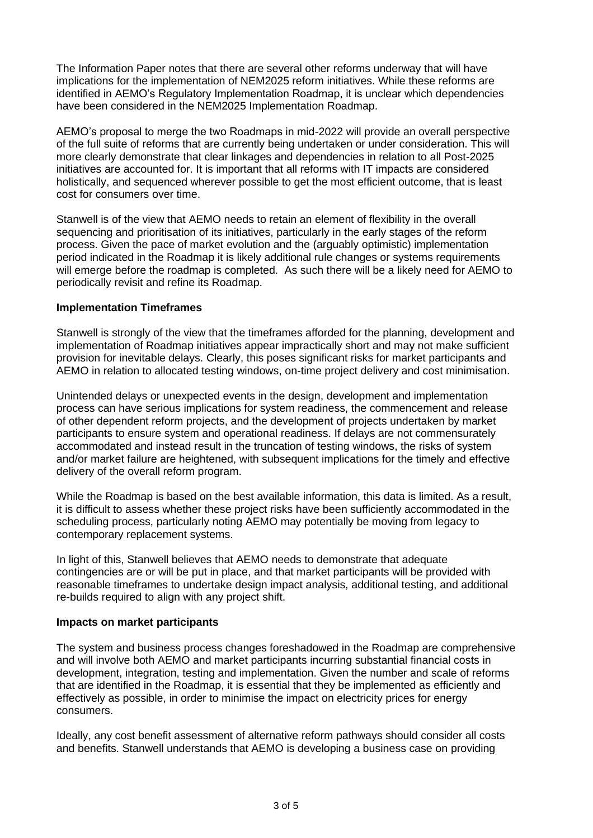The Information Paper notes that there are several other reforms underway that will have implications for the implementation of NEM2025 reform initiatives. While these reforms are identified in AEMO's Regulatory Implementation Roadmap, it is unclear which dependencies have been considered in the NEM2025 Implementation Roadmap.

AEMO's proposal to merge the two Roadmaps in mid-2022 will provide an overall perspective of the full suite of reforms that are currently being undertaken or under consideration. This will more clearly demonstrate that clear linkages and dependencies in relation to all Post-2025 initiatives are accounted for. It is important that all reforms with IT impacts are considered holistically, and sequenced wherever possible to get the most efficient outcome, that is least cost for consumers over time.

Stanwell is of the view that AEMO needs to retain an element of flexibility in the overall sequencing and prioritisation of its initiatives, particularly in the early stages of the reform process. Given the pace of market evolution and the (arguably optimistic) implementation period indicated in the Roadmap it is likely additional rule changes or systems requirements will emerge before the roadmap is completed. As such there will be a likely need for AEMO to periodically revisit and refine its Roadmap.

# **Implementation Timeframes**

Stanwell is strongly of the view that the timeframes afforded for the planning, development and implementation of Roadmap initiatives appear impractically short and may not make sufficient provision for inevitable delays. Clearly, this poses significant risks for market participants and AEMO in relation to allocated testing windows, on-time project delivery and cost minimisation.

Unintended delays or unexpected events in the design, development and implementation process can have serious implications for system readiness, the commencement and release of other dependent reform projects, and the development of projects undertaken by market participants to ensure system and operational readiness. If delays are not commensurately accommodated and instead result in the truncation of testing windows, the risks of system and/or market failure are heightened, with subsequent implications for the timely and effective delivery of the overall reform program.

While the Roadmap is based on the best available information, this data is limited. As a result, it is difficult to assess whether these project risks have been sufficiently accommodated in the scheduling process, particularly noting AEMO may potentially be moving from legacy to contemporary replacement systems.

In light of this, Stanwell believes that AEMO needs to demonstrate that adequate contingencies are or will be put in place, and that market participants will be provided with reasonable timeframes to undertake design impact analysis, additional testing, and additional re-builds required to align with any project shift.

# **Impacts on market participants**

The system and business process changes foreshadowed in the Roadmap are comprehensive and will involve both AEMO and market participants incurring substantial financial costs in development, integration, testing and implementation. Given the number and scale of reforms that are identified in the Roadmap, it is essential that they be implemented as efficiently and effectively as possible, in order to minimise the impact on electricity prices for energy consumers.

Ideally, any cost benefit assessment of alternative reform pathways should consider all costs and benefits. Stanwell understands that AEMO is developing a business case on providing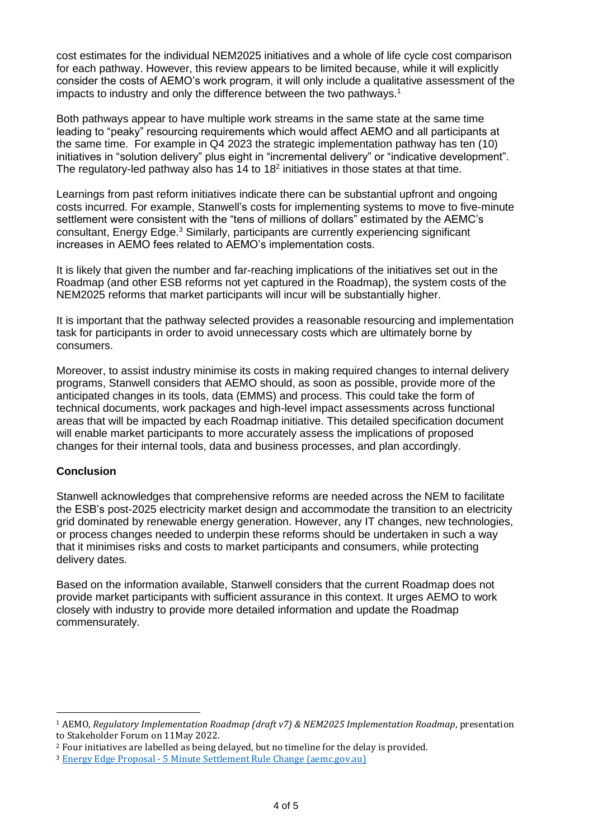cost estimates for the individual NEM2025 initiatives and a whole of life cycle cost comparison for each pathway. However, this review appears to be limited because, while it will explicitly consider the costs of AEMO's work program, it will only include a qualitative assessment of the impacts to industry and only the difference between the two pathways. 1

Both pathways appear to have multiple work streams in the same state at the same time leading to "peaky" resourcing requirements which would affect AEMO and all participants at the same time. For example in Q4 2023 the strategic implementation pathway has ten (10) initiatives in "solution delivery" plus eight in "incremental delivery" or "indicative development". The regulatory-led pathway also has 14 to 18<sup>2</sup> initiatives in those states at that time.

Learnings from past reform initiatives indicate there can be substantial upfront and ongoing costs incurred. For example, Stanwell's costs for implementing systems to move to five-minute settlement were consistent with the "tens of millions of dollars" estimated by the AEMC's consultant, Energy Edge.<sup>3</sup> Similarly, participants are currently experiencing significant increases in AEMO fees related to AEMO's implementation costs.

It is likely that given the number and far-reaching implications of the initiatives set out in the Roadmap (and other ESB reforms not yet captured in the Roadmap), the system costs of the NEM2025 reforms that market participants will incur will be substantially higher.

It is important that the pathway selected provides a reasonable resourcing and implementation task for participants in order to avoid unnecessary costs which are ultimately borne by consumers.

Moreover, to assist industry minimise its costs in making required changes to internal delivery programs, Stanwell considers that AEMO should, as soon as possible, provide more of the anticipated changes in its tools, data (EMMS) and process. This could take the form of technical documents, work packages and high-level impact assessments across functional areas that will be impacted by each Roadmap initiative. This detailed specification document will enable market participants to more accurately assess the implications of proposed changes for their internal tools, data and business processes, and plan accordingly.

# **Conclusion**

Stanwell acknowledges that comprehensive reforms are needed across the NEM to facilitate the ESB's post-2025 electricity market design and accommodate the transition to an electricity grid dominated by renewable energy generation. However, any IT changes, new technologies, or process changes needed to underpin these reforms should be undertaken in such a way that it minimises risks and costs to market participants and consumers, while protecting delivery dates.

Based on the information available, Stanwell considers that the current Roadmap does not provide market participants with sufficient assurance in this context. It urges AEMO to work closely with industry to provide more detailed information and update the Roadmap commensurately.

<sup>1</sup> AEMO, *Regulatory Implementation Roadmap (draft v7) & NEM2025 Implementation Roadmap*, presentation to Stakeholder Forum on 11May 2022.

<sup>2</sup> Four initiatives are labelled as being delayed, but no timeline for the delay is provided.

<sup>3</sup> Energy Edge Proposal - [5 Minute Settlement Rule Change \(aemc.gov.au\)](https://www.aemc.gov.au/sites/default/files/content/9e286789-9686-4e49-8627-612fa9e3dfb0/AEMC-5-Minute-Settlement-Rule-Change-Mar-2017-FINAL-DELIVERED.PDF)